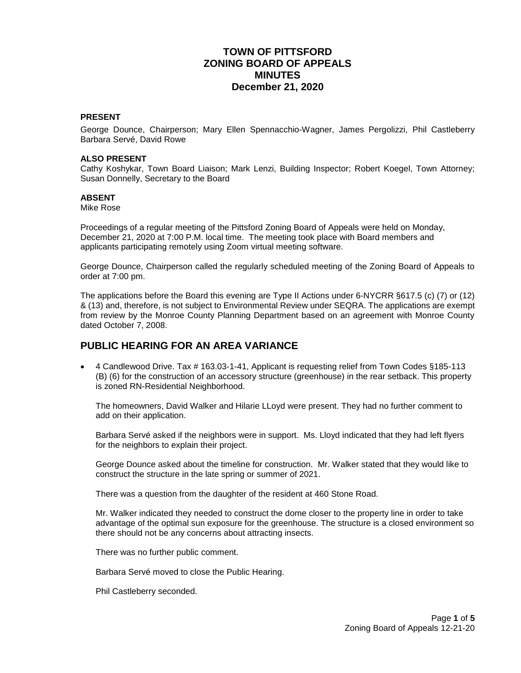## **TOWN OF PITTSFORD ZONING BOARD OF APPEALS MINUTES December 21, 2020**

### **PRESENT**

George Dounce, Chairperson; Mary Ellen Spennacchio-Wagner, James Pergolizzi, Phil Castleberry Barbara Servé, David Rowe

#### **ALSO PRESENT**

Cathy Koshykar, Town Board Liaison; Mark Lenzi, Building Inspector; Robert Koegel, Town Attorney; Susan Donnelly, Secretary to the Board

#### **ABSENT**

Mike Rose

Proceedings of a regular meeting of the Pittsford Zoning Board of Appeals were held on Monday, December 21, 2020 at 7:00 P.M. local time. The meeting took place with Board members and applicants participating remotely using Zoom virtual meeting software.

George Dounce, Chairperson called the regularly scheduled meeting of the Zoning Board of Appeals to order at 7:00 pm.

The applications before the Board this evening are Type II Actions under 6-NYCRR §617.5 (c) (7) or (12) & (13) and, therefore, is not subject to Environmental Review under SEQRA. The applications are exempt from review by the Monroe County Planning Department based on an agreement with Monroe County dated October 7, 2008.

## **PUBLIC HEARING FOR AN AREA VARIANCE**

 4 Candlewood Drive. Tax # 163.03-1-41, Applicant is requesting relief from Town Codes §185-113 (B) (6) for the construction of an accessory structure (greenhouse) in the rear setback. This property is zoned RN-Residential Neighborhood.

The homeowners, David Walker and Hilarie LLoyd were present. They had no further comment to add on their application.

Barbara Servé asked if the neighbors were in support. Ms. Lloyd indicated that they had left flyers for the neighbors to explain their project.

George Dounce asked about the timeline for construction. Mr. Walker stated that they would like to construct the structure in the late spring or summer of 2021.

There was a question from the daughter of the resident at 460 Stone Road.

Mr. Walker indicated they needed to construct the dome closer to the property line in order to take advantage of the optimal sun exposure for the greenhouse. The structure is a closed environment so there should not be any concerns about attracting insects.

There was no further public comment.

Barbara Servé moved to close the Public Hearing.

Phil Castleberry seconded.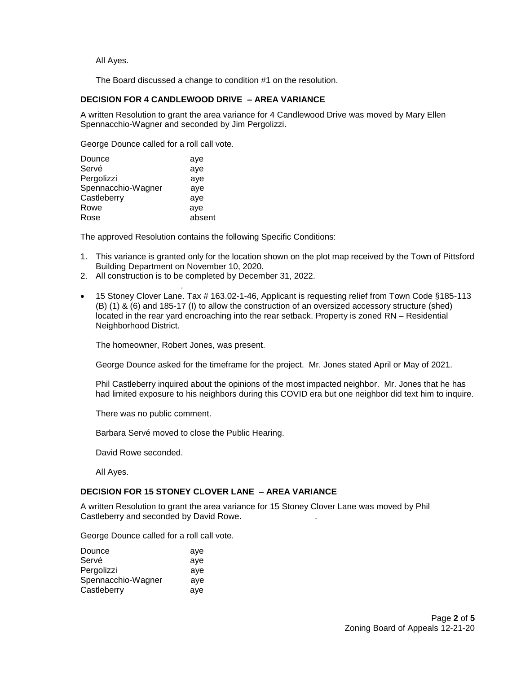All Ayes.

The Board discussed a change to condition #1 on the resolution.

### **DECISION FOR 4 CANDLEWOOD DRIVE – AREA VARIANCE**

A written Resolution to grant the area variance for 4 Candlewood Drive was moved by Mary Ellen Spennacchio-Wagner and seconded by Jim Pergolizzi.

George Dounce called for a roll call vote.

| Dounce             | aye    |
|--------------------|--------|
| Servé              | aye    |
| Pergolizzi         | aye    |
| Spennacchio-Wagner | aye    |
| Castleberry        | aye    |
| Rowe               | aye    |
| Rose               | absent |
|                    |        |

.

The approved Resolution contains the following Specific Conditions:

- 1. This variance is granted only for the location shown on the plot map received by the Town of Pittsford Building Department on November 10, 2020.
- 2. All construction is to be completed by December 31, 2022.
- 15 Stoney Clover Lane. Tax # 163.02-1-46, Applicant is requesting relief from Town Code §185-113 (B) (1) & (6) and 185-17 (I) to allow the construction of an oversized accessory structure (shed) located in the rear yard encroaching into the rear setback. Property is zoned RN – Residential Neighborhood District.

The homeowner, Robert Jones, was present.

George Dounce asked for the timeframe for the project. Mr. Jones stated April or May of 2021.

Phil Castleberry inquired about the opinions of the most impacted neighbor. Mr. Jones that he has had limited exposure to his neighbors during this COVID era but one neighbor did text him to inquire.

There was no public comment.

Barbara Servé moved to close the Public Hearing.

David Rowe seconded.

All Ayes.

### **DECISION FOR 15 STONEY CLOVER LANE – AREA VARIANCE**

A written Resolution to grant the area variance for 15 Stoney Clover Lane was moved by Phil Castleberry and seconded by David Rowe. .

George Dounce called for a roll call vote.

| Dounce             | aye |
|--------------------|-----|
| Servé              | ave |
| Pergolizzi         | ave |
| Spennacchio-Wagner | ave |
| Castleberry        | aye |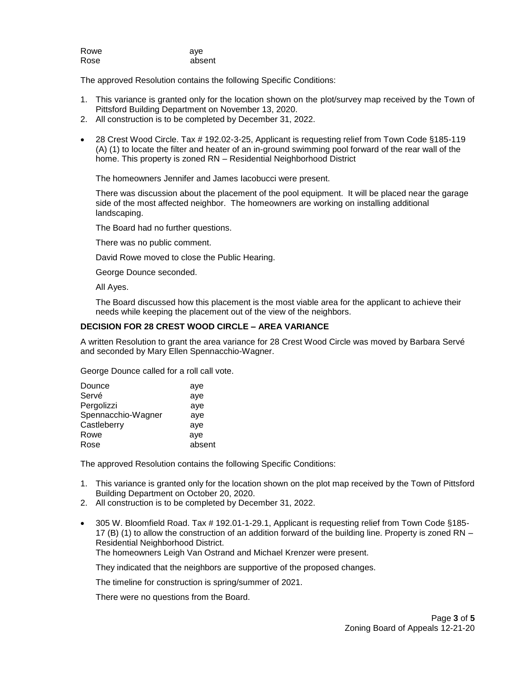| Rowe | aye    |
|------|--------|
| Rose | absent |

The approved Resolution contains the following Specific Conditions:

- 1. This variance is granted only for the location shown on the plot/survey map received by the Town of Pittsford Building Department on November 13, 2020.
- 2. All construction is to be completed by December 31, 2022.
- 28 Crest Wood Circle. Tax # 192.02-3-25, Applicant is requesting relief from Town Code §185-119 (A) (1) to locate the filter and heater of an in-ground swimming pool forward of the rear wall of the home. This property is zoned RN – Residential Neighborhood District

The homeowners Jennifer and James Iacobucci were present.

There was discussion about the placement of the pool equipment. It will be placed near the garage side of the most affected neighbor. The homeowners are working on installing additional landscaping.

The Board had no further questions.

There was no public comment.

David Rowe moved to close the Public Hearing.

George Dounce seconded.

All Ayes.

The Board discussed how this placement is the most viable area for the applicant to achieve their needs while keeping the placement out of the view of the neighbors.

## **DECISION FOR 28 CREST WOOD CIRCLE – AREA VARIANCE**

A written Resolution to grant the area variance for 28 Crest Wood Circle was moved by Barbara Servé and seconded by Mary Ellen Spennacchio-Wagner.

George Dounce called for a roll call vote.

| aye    |
|--------|
| aye    |
| aye    |
| aye    |
| aye    |
| aye    |
| absent |
|        |

The approved Resolution contains the following Specific Conditions:

- 1. This variance is granted only for the location shown on the plot map received by the Town of Pittsford Building Department on October 20, 2020.
- 2. All construction is to be completed by December 31, 2022.
- 305 W. Bloomfield Road. Tax # 192.01-1-29.1, Applicant is requesting relief from Town Code §185- 17 (B) (1) to allow the construction of an addition forward of the building line. Property is zoned RN – Residential Neighborhood District.

The homeowners Leigh Van Ostrand and Michael Krenzer were present.

They indicated that the neighbors are supportive of the proposed changes.

The timeline for construction is spring/summer of 2021.

There were no questions from the Board.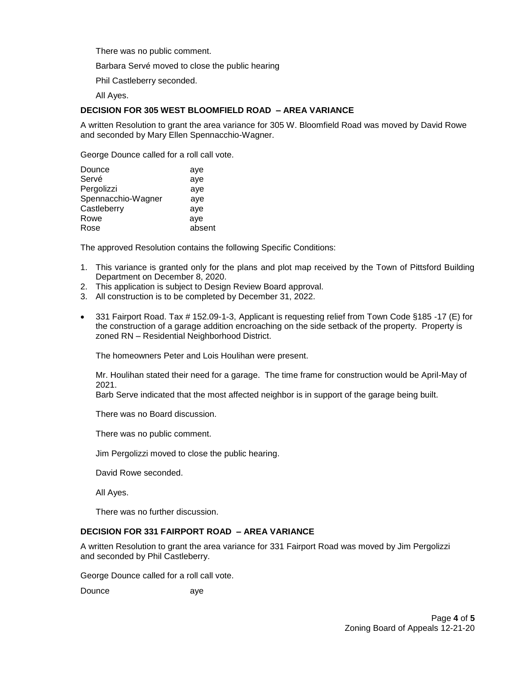There was no public comment.

Barbara Servé moved to close the public hearing

Phil Castleberry seconded.

All Ayes.

## **DECISION FOR 305 WEST BLOOMFIELD ROAD – AREA VARIANCE**

A written Resolution to grant the area variance for 305 W. Bloomfield Road was moved by David Rowe and seconded by Mary Ellen Spennacchio-Wagner.

George Dounce called for a roll call vote.

| Dounce             | aye    |
|--------------------|--------|
| Servé              | aye    |
| Pergolizzi         | aye    |
| Spennacchio-Wagner | aye    |
| Castleberry        | aye    |
| Rowe               | aye    |
| Rose               | absent |

The approved Resolution contains the following Specific Conditions:

- 1. This variance is granted only for the plans and plot map received by the Town of Pittsford Building Department on December 8, 2020.
- 2. This application is subject to Design Review Board approval.
- 3. All construction is to be completed by December 31, 2022.
- 331 Fairport Road. Tax # 152.09-1-3, Applicant is requesting relief from Town Code §185 -17 (E) for the construction of a garage addition encroaching on the side setback of the property. Property is zoned RN – Residential Neighborhood District.

The homeowners Peter and Lois Houlihan were present.

Mr. Houlihan stated their need for a garage. The time frame for construction would be April-May of 2021.

Barb Serve indicated that the most affected neighbor is in support of the garage being built.

There was no Board discussion.

There was no public comment.

Jim Pergolizzi moved to close the public hearing.

David Rowe seconded.

All Ayes.

There was no further discussion.

### **DECISION FOR 331 FAIRPORT ROAD – AREA VARIANCE**

A written Resolution to grant the area variance for 331 Fairport Road was moved by Jim Pergolizzi and seconded by Phil Castleberry.

George Dounce called for a roll call vote.

Dounce aye